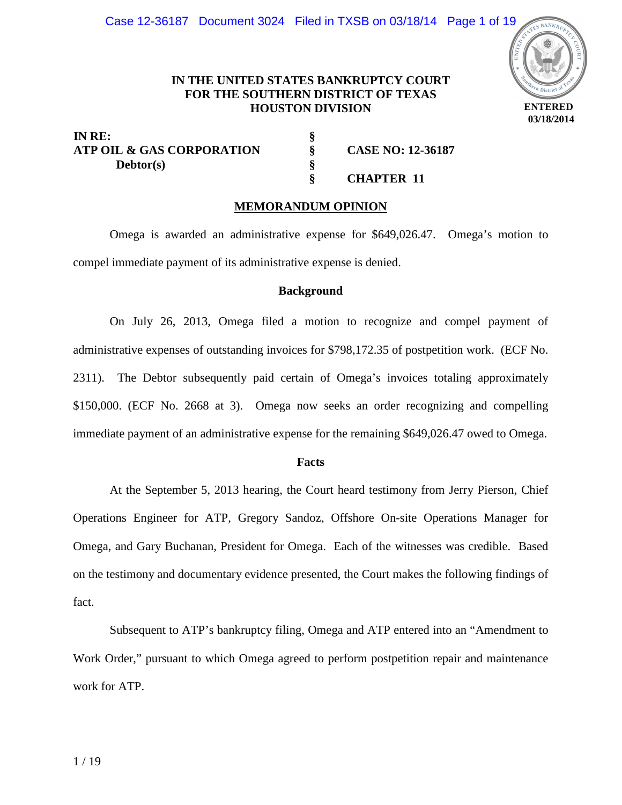

# **IN THE UNITED STATES BANKRUPTCY COURT FOR THE SOUTHERN DISTRICT OF TEXAS HOUSTON DIVISION**

**§ § §**

**IN RE:**  ATP OIL & GAS CORPORATION  $\S$  CASE NO: 12-36187  **Debtor(s)** 

# **§ CHAPTER 11**

# **MEMORANDUM OPINION**

Omega is awarded an administrative expense for \$649,026.47. Omega's motion to compel immediate payment of its administrative expense is denied.

# **Background**

 On July 26, 2013, Omega filed a motion to recognize and compel payment of administrative expenses of outstanding invoices for \$798,172.35 of postpetition work. (ECF No. 2311). The Debtor subsequently paid certain of Omega's invoices totaling approximately \$150,000. (ECF No. 2668 at 3). Omega now seeks an order recognizing and compelling immediate payment of an administrative expense for the remaining \$649,026.47 owed to Omega.

#### **Facts**

At the September 5, 2013 hearing, the Court heard testimony from Jerry Pierson, Chief Operations Engineer for ATP, Gregory Sandoz, Offshore On-site Operations Manager for Omega, and Gary Buchanan, President for Omega. Each of the witnesses was credible. Based on the testimony and documentary evidence presented, the Court makes the following findings of fact.

Subsequent to ATP's bankruptcy filing, Omega and ATP entered into an "Amendment to Work Order," pursuant to which Omega agreed to perform postpetition repair and maintenance work for ATP.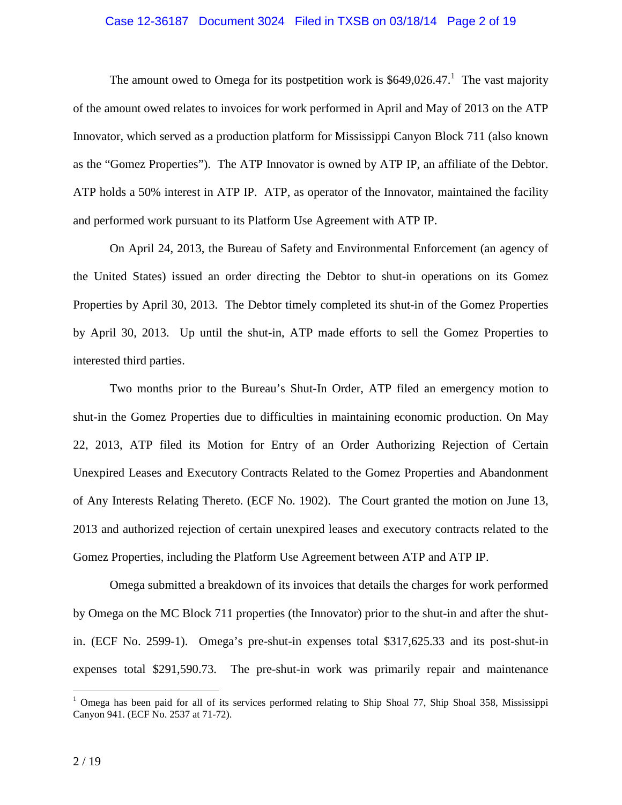# Case 12-36187 Document 3024 Filed in TXSB on 03/18/14 Page 2 of 19

The amount owed to Omega for its postpetition work is  $$649,026.47$ .<sup>1</sup> The vast majority of the amount owed relates to invoices for work performed in April and May of 2013 on the ATP Innovator, which served as a production platform for Mississippi Canyon Block 711 (also known as the "Gomez Properties"). The ATP Innovator is owned by ATP IP, an affiliate of the Debtor. ATP holds a 50% interest in ATP IP. ATP, as operator of the Innovator, maintained the facility and performed work pursuant to its Platform Use Agreement with ATP IP.

On April 24, 2013, the Bureau of Safety and Environmental Enforcement (an agency of the United States) issued an order directing the Debtor to shut-in operations on its Gomez Properties by April 30, 2013. The Debtor timely completed its shut-in of the Gomez Properties by April 30, 2013. Up until the shut-in, ATP made efforts to sell the Gomez Properties to interested third parties.

Two months prior to the Bureau's Shut-In Order, ATP filed an emergency motion to shut-in the Gomez Properties due to difficulties in maintaining economic production. On May 22, 2013, ATP filed its Motion for Entry of an Order Authorizing Rejection of Certain Unexpired Leases and Executory Contracts Related to the Gomez Properties and Abandonment of Any Interests Relating Thereto. (ECF No. 1902). The Court granted the motion on June 13, 2013 and authorized rejection of certain unexpired leases and executory contracts related to the Gomez Properties, including the Platform Use Agreement between ATP and ATP IP.

Omega submitted a breakdown of its invoices that details the charges for work performed by Omega on the MC Block 711 properties (the Innovator) prior to the shut-in and after the shutin. (ECF No. 2599-1). Omega's pre-shut-in expenses total \$317,625.33 and its post-shut-in expenses total \$291,590.73. The pre-shut-in work was primarily repair and maintenance

 $\overline{a}$ 

<sup>&</sup>lt;sup>1</sup> Omega has been paid for all of its services performed relating to Ship Shoal 77, Ship Shoal 358, Mississippi Canyon 941. (ECF No. 2537 at 71-72).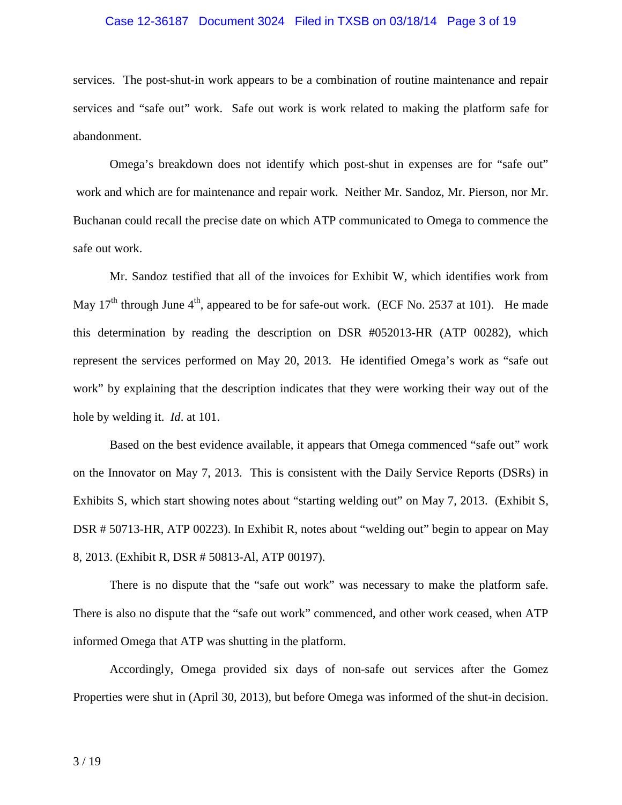# Case 12-36187 Document 3024 Filed in TXSB on 03/18/14 Page 3 of 19

services. The post-shut-in work appears to be a combination of routine maintenance and repair services and "safe out" work. Safe out work is work related to making the platform safe for abandonment.

Omega's breakdown does not identify which post-shut in expenses are for "safe out" work and which are for maintenance and repair work. Neither Mr. Sandoz, Mr. Pierson, nor Mr. Buchanan could recall the precise date on which ATP communicated to Omega to commence the safe out work.

Mr. Sandoz testified that all of the invoices for Exhibit W, which identifies work from May  $17<sup>th</sup>$  through June  $4<sup>th</sup>$ , appeared to be for safe-out work. (ECF No. 2537 at 101). He made this determination by reading the description on DSR #052013-HR (ATP 00282), which represent the services performed on May 20, 2013. He identified Omega's work as "safe out work" by explaining that the description indicates that they were working their way out of the hole by welding it. *Id*. at 101.

Based on the best evidence available, it appears that Omega commenced "safe out" work on the Innovator on May 7, 2013. This is consistent with the Daily Service Reports (DSRs) in Exhibits S, which start showing notes about "starting welding out" on May 7, 2013. (Exhibit S, DSR # 50713-HR, ATP 00223). In Exhibit R, notes about "welding out" begin to appear on May 8, 2013. (Exhibit R, DSR # 50813-Al, ATP 00197).

There is no dispute that the "safe out work" was necessary to make the platform safe. There is also no dispute that the "safe out work" commenced, and other work ceased, when ATP informed Omega that ATP was shutting in the platform.

Accordingly, Omega provided six days of non-safe out services after the Gomez Properties were shut in (April 30, 2013), but before Omega was informed of the shut-in decision.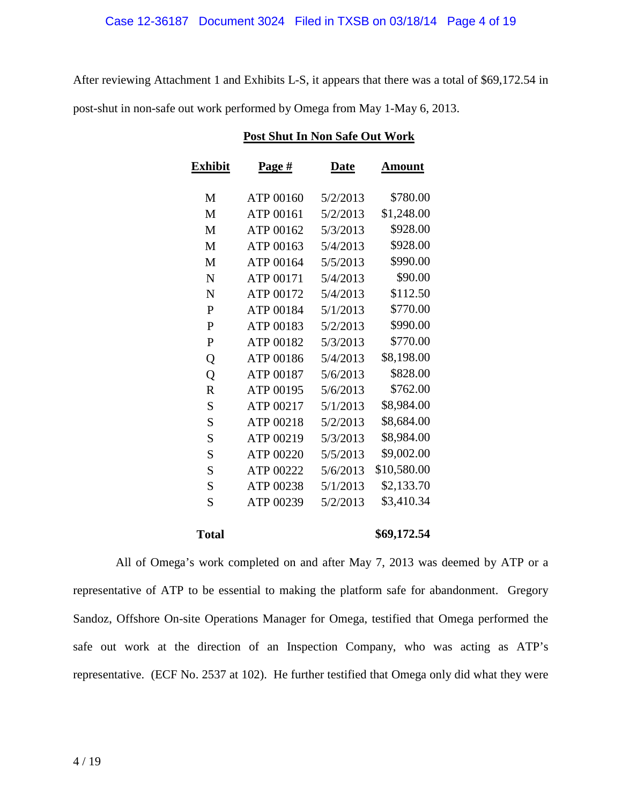After reviewing Attachment 1 and Exhibits L-S, it appears that there was a total of \$69,172.54 in post-shut in non-safe out work performed by Omega from May 1-May 6, 2013.

| <b>Exhibit</b> | Page #    | <b>Date</b> | Amount      |
|----------------|-----------|-------------|-------------|
| M              | ATP 00160 | 5/2/2013    | \$780.00    |
| M              | ATP 00161 | 5/2/2013    | \$1,248.00  |
| M              | ATP 00162 | 5/3/2013    | \$928.00    |
| M              | ATP 00163 | 5/4/2013    | \$928.00    |
| M              | ATP 00164 | 5/5/2013    | \$990.00    |
| N              | ATP 00171 | 5/4/2013    | \$90.00     |
| N              | ATP 00172 | 5/4/2013    | \$112.50    |
| $\mathbf{P}$   | ATP 00184 | 5/1/2013    | \$770.00    |
| P              | ATP 00183 | 5/2/2013    | \$990.00    |
| $\mathbf{P}$   | ATP 00182 | 5/3/2013    | \$770.00    |
| Q              | ATP 00186 | 5/4/2013    | \$8,198.00  |
| Q              | ATP 00187 | 5/6/2013    | \$828.00    |
| $\mathbf R$    | ATP 00195 | 5/6/2013    | \$762.00    |
| S              | ATP 00217 | 5/1/2013    | \$8,984.00  |
| S              | ATP 00218 | 5/2/2013    | \$8,684.00  |
| S              | ATP 00219 | 5/3/2013    | \$8,984.00  |
| S              | ATP 00220 | 5/5/2013    | \$9,002.00  |
| S              | ATP 00222 | 5/6/2013    | \$10,580.00 |
| ${\bf S}$      | ATP 00238 | 5/1/2013    | \$2,133.70  |
| S              | ATP 00239 | 5/2/2013    | \$3,410.34  |
| <b>Total</b>   |           |             | \$69,172.54 |

# **Post Shut In Non Safe Out Work**

 All of Omega's work completed on and after May 7, 2013 was deemed by ATP or a representative of ATP to be essential to making the platform safe for abandonment. Gregory Sandoz, Offshore On-site Operations Manager for Omega, testified that Omega performed the safe out work at the direction of an Inspection Company, who was acting as ATP's representative. (ECF No. 2537 at 102). He further testified that Omega only did what they were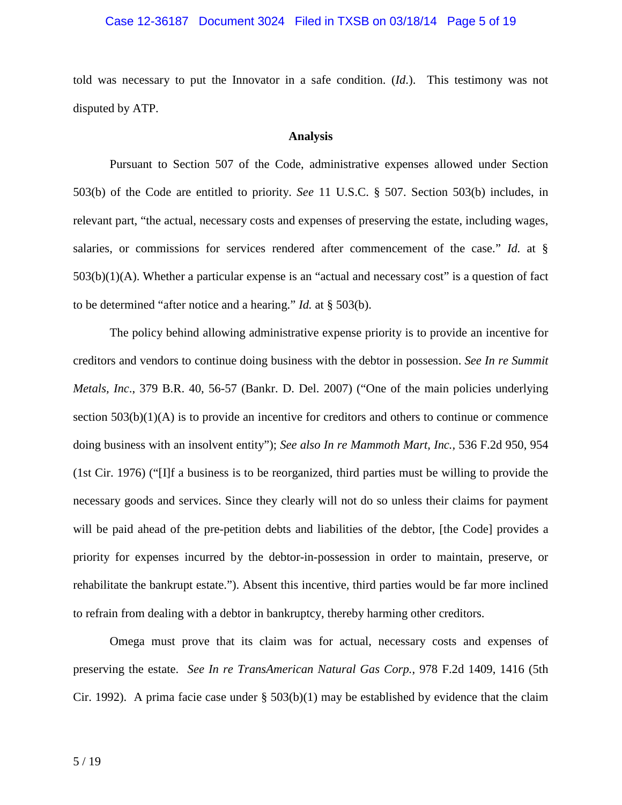# Case 12-36187 Document 3024 Filed in TXSB on 03/18/14 Page 5 of 19

told was necessary to put the Innovator in a safe condition. (*Id*.). This testimony was not disputed by ATP.

# **Analysis**

Pursuant to Section 507 of the Code, administrative expenses allowed under Section 503(b) of the Code are entitled to priority. *See* 11 U.S.C. § 507. Section 503(b) includes, in relevant part, "the actual, necessary costs and expenses of preserving the estate, including wages, salaries, or commissions for services rendered after commencement of the case." *Id.* at § 503(b)(1)(A). Whether a particular expense is an "actual and necessary cost" is a question of fact to be determined "after notice and a hearing." *Id.* at § 503(b).

The policy behind allowing administrative expense priority is to provide an incentive for creditors and vendors to continue doing business with the debtor in possession. *See In re Summit Metals, Inc*., 379 B.R. 40, 56-57 (Bankr. D. Del. 2007) ("One of the main policies underlying section  $503(b)(1)(A)$  is to provide an incentive for creditors and others to continue or commence doing business with an insolvent entity"); *See also In re Mammoth Mart, Inc.,* 536 F.2d 950, 954 (1st Cir. 1976) ("[I]f a business is to be reorganized, third parties must be willing to provide the necessary goods and services. Since they clearly will not do so unless their claims for payment will be paid ahead of the pre-petition debts and liabilities of the debtor, [the Code] provides a priority for expenses incurred by the debtor-in-possession in order to maintain, preserve, or rehabilitate the bankrupt estate."). Absent this incentive, third parties would be far more inclined to refrain from dealing with a debtor in bankruptcy, thereby harming other creditors.

Omega must prove that its claim was for actual, necessary costs and expenses of preserving the estate. *See In re TransAmerican Natural Gas Corp.*, 978 F.2d 1409, 1416 (5th Cir. 1992). A prima facie case under  $\S 503(b)(1)$  may be established by evidence that the claim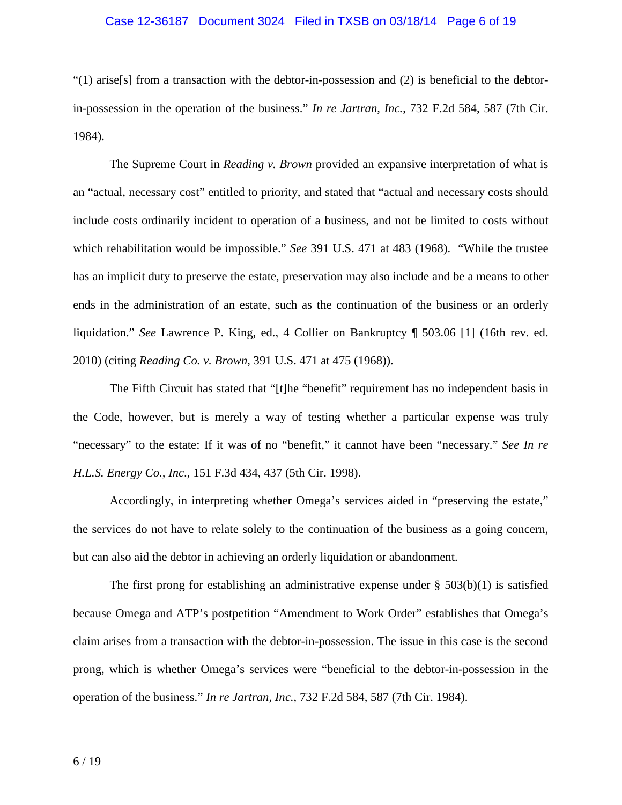# Case 12-36187 Document 3024 Filed in TXSB on 03/18/14 Page 6 of 19

 $(1)$  arise[s] from a transaction with the debtor-in-possession and (2) is beneficial to the debtorin-possession in the operation of the business." *In re Jartran, Inc.*, 732 F.2d 584, 587 (7th Cir. 1984).

The Supreme Court in *Reading v. Brown* provided an expansive interpretation of what is an "actual, necessary cost" entitled to priority, and stated that "actual and necessary costs should include costs ordinarily incident to operation of a business, and not be limited to costs without which rehabilitation would be impossible." *See* 391 U.S. 471 at 483 (1968). "While the trustee has an implicit duty to preserve the estate, preservation may also include and be a means to other ends in the administration of an estate, such as the continuation of the business or an orderly liquidation." *See* Lawrence P. King, ed., 4 Collier on Bankruptcy ¶ 503.06 [1] (16th rev. ed. 2010) (citing *Reading Co. v. Brown*, 391 U.S. 471 at 475 (1968)).

The Fifth Circuit has stated that "[t]he "benefit" requirement has no independent basis in the Code, however, but is merely a way of testing whether a particular expense was truly "necessary" to the estate: If it was of no "benefit," it cannot have been "necessary." *See In re H.L.S. Energy Co., Inc*., 151 F.3d 434, 437 (5th Cir. 1998).

Accordingly, in interpreting whether Omega's services aided in "preserving the estate," the services do not have to relate solely to the continuation of the business as a going concern, but can also aid the debtor in achieving an orderly liquidation or abandonment.

The first prong for establishing an administrative expense under  $\S$  503(b)(1) is satisfied because Omega and ATP's postpetition "Amendment to Work Order" establishes that Omega's claim arises from a transaction with the debtor-in-possession. The issue in this case is the second prong, which is whether Omega's services were "beneficial to the debtor-in-possession in the operation of the business." *In re Jartran, Inc.*, 732 F.2d 584, 587 (7th Cir. 1984).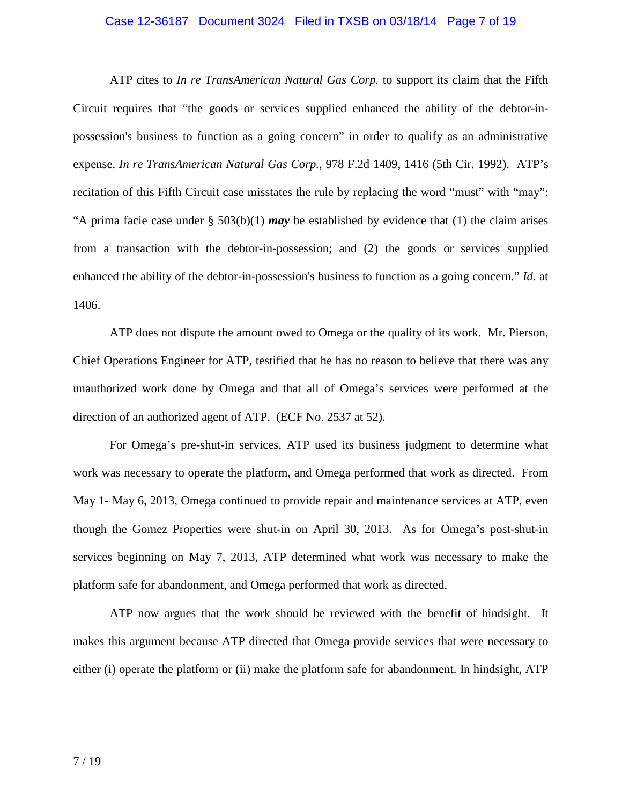# Case 12-36187 Document 3024 Filed in TXSB on 03/18/14 Page 7 of 19

ATP cites to *In re TransAmerican Natural Gas Corp.* to support its claim that the Fifth Circuit requires that "the goods or services supplied enhanced the ability of the debtor-inpossession's business to function as a going concern" in order to qualify as an administrative expense. *In re TransAmerican Natural Gas Corp.*, 978 F.2d 1409, 1416 (5th Cir. 1992). ATP's recitation of this Fifth Circuit case misstates the rule by replacing the word "must" with "may": "A prima facie case under § 503(b)(1) *may* be established by evidence that (1) the claim arises from a transaction with the debtor-in-possession; and (2) the goods or services supplied enhanced the ability of the debtor-in-possession's business to function as a going concern." *Id*. at 1406.

ATP does not dispute the amount owed to Omega or the quality of its work. Mr. Pierson, Chief Operations Engineer for ATP, testified that he has no reason to believe that there was any unauthorized work done by Omega and that all of Omega's services were performed at the direction of an authorized agent of ATP. (ECF No. 2537 at 52).

For Omega's pre-shut-in services, ATP used its business judgment to determine what work was necessary to operate the platform, and Omega performed that work as directed. From May 1- May 6, 2013, Omega continued to provide repair and maintenance services at ATP, even though the Gomez Properties were shut-in on April 30, 2013. As for Omega's post-shut-in services beginning on May 7, 2013, ATP determined what work was necessary to make the platform safe for abandonment, and Omega performed that work as directed.

ATP now argues that the work should be reviewed with the benefit of hindsight. It makes this argument because ATP directed that Omega provide services that were necessary to either (i) operate the platform or (ii) make the platform safe for abandonment. In hindsight, ATP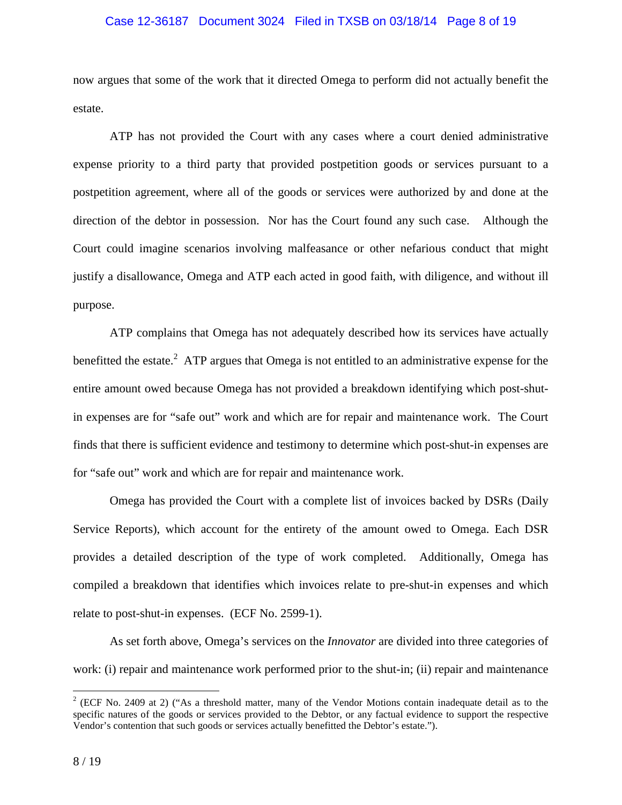# Case 12-36187 Document 3024 Filed in TXSB on 03/18/14 Page 8 of 19

now argues that some of the work that it directed Omega to perform did not actually benefit the estate.

ATP has not provided the Court with any cases where a court denied administrative expense priority to a third party that provided postpetition goods or services pursuant to a postpetition agreement, where all of the goods or services were authorized by and done at the direction of the debtor in possession. Nor has the Court found any such case. Although the Court could imagine scenarios involving malfeasance or other nefarious conduct that might justify a disallowance, Omega and ATP each acted in good faith, with diligence, and without ill purpose.

ATP complains that Omega has not adequately described how its services have actually benefitted the estate.<sup>2</sup> ATP argues that Omega is not entitled to an administrative expense for the entire amount owed because Omega has not provided a breakdown identifying which post-shutin expenses are for "safe out" work and which are for repair and maintenance work. The Court finds that there is sufficient evidence and testimony to determine which post-shut-in expenses are for "safe out" work and which are for repair and maintenance work.

Omega has provided the Court with a complete list of invoices backed by DSRs (Daily Service Reports), which account for the entirety of the amount owed to Omega. Each DSR provides a detailed description of the type of work completed. Additionally, Omega has compiled a breakdown that identifies which invoices relate to pre-shut-in expenses and which relate to post-shut-in expenses. (ECF No. 2599-1).

As set forth above, Omega's services on the *Innovator* are divided into three categories of work: (i) repair and maintenance work performed prior to the shut-in; (ii) repair and maintenance

 $\overline{a}$ 

 $2$  (ECF No. 2409 at 2) ("As a threshold matter, many of the Vendor Motions contain inadequate detail as to the specific natures of the goods or services provided to the Debtor, or any factual evidence to support the respective Vendor's contention that such goods or services actually benefitted the Debtor's estate.").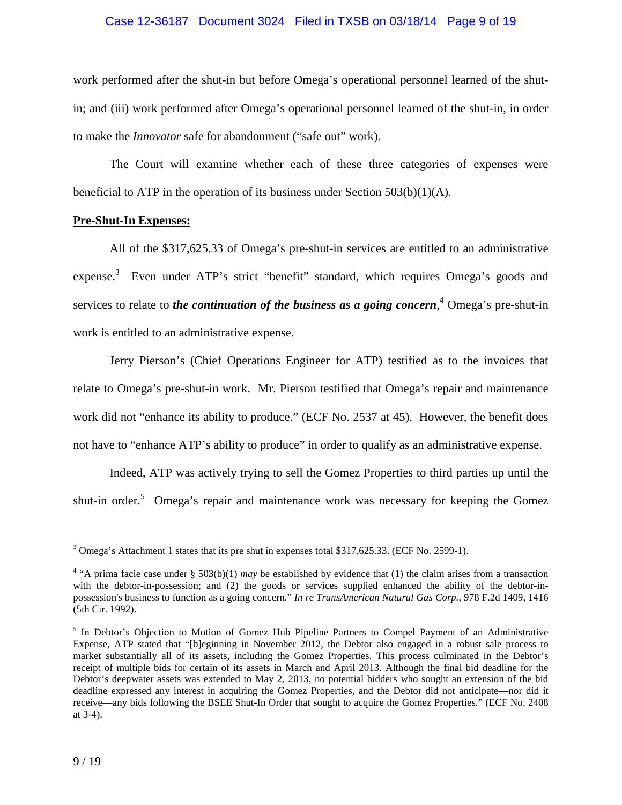# Case 12-36187 Document 3024 Filed in TXSB on 03/18/14 Page 9 of 19

work performed after the shut-in but before Omega's operational personnel learned of the shutin; and (iii) work performed after Omega's operational personnel learned of the shut-in, in order to make the *Innovator* safe for abandonment ("safe out" work).

The Court will examine whether each of these three categories of expenses were beneficial to ATP in the operation of its business under Section 503(b)(1)(A).

# **Pre-Shut-In Expenses:**

All of the \$317,625.33 of Omega's pre-shut-in services are entitled to an administrative expense.<sup>3</sup> Even under ATP's strict "benefit" standard, which requires Omega's goods and services to relate to *the continuation of the business as a going concern*,<sup>4</sup> Omega's pre-shut-in work is entitled to an administrative expense.

Jerry Pierson's (Chief Operations Engineer for ATP) testified as to the invoices that relate to Omega's pre-shut-in work. Mr. Pierson testified that Omega's repair and maintenance work did not "enhance its ability to produce." (ECF No. 2537 at 45). However, the benefit does not have to "enhance ATP's ability to produce" in order to qualify as an administrative expense.

Indeed, ATP was actively trying to sell the Gomez Properties to third parties up until the shut-in order.<sup>5</sup> Omega's repair and maintenance work was necessary for keeping the Gomez

<sup>&</sup>lt;sup>3</sup> Omega's Attachment 1 states that its pre shut in expenses total \$317,625.33. (ECF No. 2599-1).

<sup>&</sup>lt;sup>4</sup> "A prima facie case under § 503(b)(1) *may* be established by evidence that (1) the claim arises from a transaction with the debtor-in-possession; and (2) the goods or services supplied enhanced the ability of the debtor-inpossession's business to function as a going concern." *In re TransAmerican Natural Gas Corp.*, 978 F.2d 1409, 1416 (5th Cir. 1992).

<sup>&</sup>lt;sup>5</sup> In Debtor's Objection to Motion of Gomez Hub Pipeline Partners to Compel Payment of an Administrative Expense, ATP stated that "[b]eginning in November 2012, the Debtor also engaged in a robust sale process to market substantially all of its assets, including the Gomez Properties. This process culminated in the Debtor's receipt of multiple bids for certain of its assets in March and April 2013. Although the final bid deadline for the Debtor's deepwater assets was extended to May 2, 2013, no potential bidders who sought an extension of the bid deadline expressed any interest in acquiring the Gomez Properties, and the Debtor did not anticipate—nor did it receive—any bids following the BSEE Shut-In Order that sought to acquire the Gomez Properties." (ECF No. 2408 at 3-4).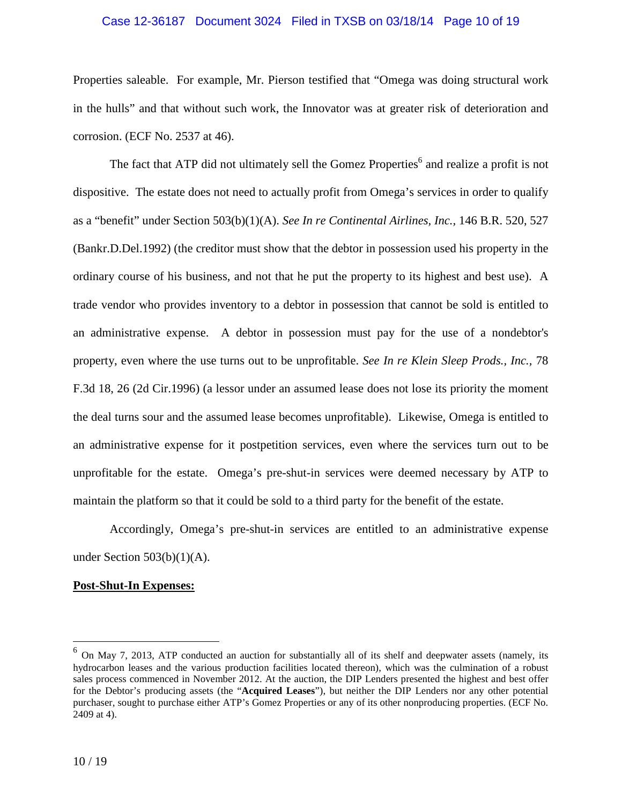#### Case 12-36187 Document 3024 Filed in TXSB on 03/18/14 Page 10 of 19

Properties saleable. For example, Mr. Pierson testified that "Omega was doing structural work in the hulls" and that without such work, the Innovator was at greater risk of deterioration and corrosion. (ECF No. 2537 at 46).

The fact that ATP did not ultimately sell the Gomez Properties<sup>6</sup> and realize a profit is not dispositive. The estate does not need to actually profit from Omega's services in order to qualify as a "benefit" under Section 503(b)(1)(A). *See In re Continental Airlines, Inc.,* 146 B.R. 520, 527 (Bankr.D.Del.1992) (the creditor must show that the debtor in possession used his property in the ordinary course of his business, and not that he put the property to its highest and best use). A trade vendor who provides inventory to a debtor in possession that cannot be sold is entitled to an administrative expense. A debtor in possession must pay for the use of a nondebtor's property, even where the use turns out to be unprofitable. *See In re Klein Sleep Prods., Inc.,* 78 F.3d 18, 26 (2d Cir.1996) (a lessor under an assumed lease does not lose its priority the moment the deal turns sour and the assumed lease becomes unprofitable). Likewise, Omega is entitled to an administrative expense for it postpetition services, even where the services turn out to be unprofitable for the estate. Omega's pre-shut-in services were deemed necessary by ATP to maintain the platform so that it could be sold to a third party for the benefit of the estate.

Accordingly, Omega's pre-shut-in services are entitled to an administrative expense under Section  $503(b)(1)(A)$ .

# **Post-Shut-In Expenses:**

<sup>&</sup>lt;sup>6</sup> On May 7, 2013, ATP conducted an auction for substantially all of its shelf and deepwater assets (namely, its hydrocarbon leases and the various production facilities located thereon), which was the culmination of a robust sales process commenced in November 2012. At the auction, the DIP Lenders presented the highest and best offer for the Debtor's producing assets (the "**Acquired Leases**"), but neither the DIP Lenders nor any other potential purchaser, sought to purchase either ATP's Gomez Properties or any of its other nonproducing properties. (ECF No. 2409 at 4).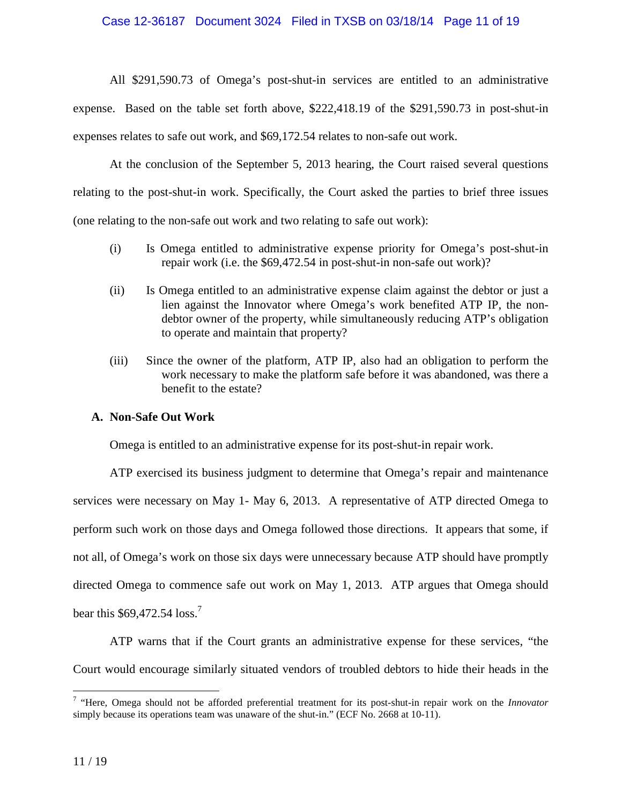# Case 12-36187 Document 3024 Filed in TXSB on 03/18/14 Page 11 of 19

All \$291,590.73 of Omega's post-shut-in services are entitled to an administrative expense. Based on the table set forth above, \$222,418.19 of the \$291,590.73 in post-shut-in expenses relates to safe out work, and \$69,172.54 relates to non-safe out work.

At the conclusion of the September 5, 2013 hearing, the Court raised several questions relating to the post-shut-in work. Specifically, the Court asked the parties to brief three issues (one relating to the non-safe out work and two relating to safe out work):

- (i) Is Omega entitled to administrative expense priority for Omega's post-shut-in repair work (i.e. the \$69,472.54 in post-shut-in non-safe out work)?
- (ii) Is Omega entitled to an administrative expense claim against the debtor or just a lien against the Innovator where Omega's work benefited ATP IP, the nondebtor owner of the property, while simultaneously reducing ATP's obligation to operate and maintain that property?
- (iii) Since the owner of the platform, ATP IP, also had an obligation to perform the work necessary to make the platform safe before it was abandoned, was there a benefit to the estate?

# **A. Non-Safe Out Work**

Omega is entitled to an administrative expense for its post-shut-in repair work.

ATP exercised its business judgment to determine that Omega's repair and maintenance services were necessary on May 1- May 6, 2013. A representative of ATP directed Omega to perform such work on those days and Omega followed those directions. It appears that some, if not all, of Omega's work on those six days were unnecessary because ATP should have promptly directed Omega to commence safe out work on May 1, 2013. ATP argues that Omega should bear this  $$69,472.54$  loss.<sup>7</sup>

ATP warns that if the Court grants an administrative expense for these services, "the Court would encourage similarly situated vendors of troubled debtors to hide their heads in the

<sup>7</sup> "Here, Omega should not be afforded preferential treatment for its post-shut-in repair work on the *Innovator*  simply because its operations team was unaware of the shut-in." (ECF No. 2668 at 10-11).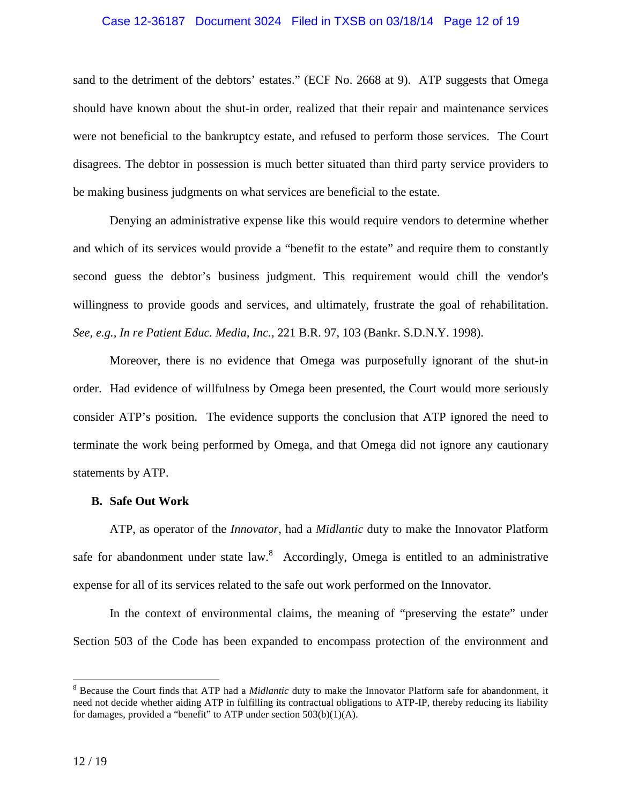# Case 12-36187 Document 3024 Filed in TXSB on 03/18/14 Page 12 of 19

sand to the detriment of the debtors' estates." (ECF No. 2668 at 9). ATP suggests that Omega should have known about the shut-in order, realized that their repair and maintenance services were not beneficial to the bankruptcy estate, and refused to perform those services. The Court disagrees. The debtor in possession is much better situated than third party service providers to be making business judgments on what services are beneficial to the estate.

Denying an administrative expense like this would require vendors to determine whether and which of its services would provide a "benefit to the estate" and require them to constantly second guess the debtor's business judgment. This requirement would chill the vendor's willingness to provide goods and services, and ultimately, frustrate the goal of rehabilitation. *See, e.g., In re Patient Educ. Media, Inc.*, 221 B.R. 97, 103 (Bankr. S.D.N.Y. 1998).

Moreover, there is no evidence that Omega was purposefully ignorant of the shut-in order. Had evidence of willfulness by Omega been presented, the Court would more seriously consider ATP's position. The evidence supports the conclusion that ATP ignored the need to terminate the work being performed by Omega, and that Omega did not ignore any cautionary statements by ATP.

#### **B. Safe Out Work**

ATP, as operator of the *Innovator*, had a *Midlantic* duty to make the Innovator Platform safe for abandonment under state  $law$ .<sup>8</sup> Accordingly, Omega is entitled to an administrative expense for all of its services related to the safe out work performed on the Innovator.

In the context of environmental claims, the meaning of "preserving the estate" under Section 503 of the Code has been expanded to encompass protection of the environment and

<sup>8</sup> Because the Court finds that ATP had a *Midlantic* duty to make the Innovator Platform safe for abandonment, it need not decide whether aiding ATP in fulfilling its contractual obligations to ATP-IP, thereby reducing its liability for damages, provided a "benefit" to ATP under section 503(b)(1)(A).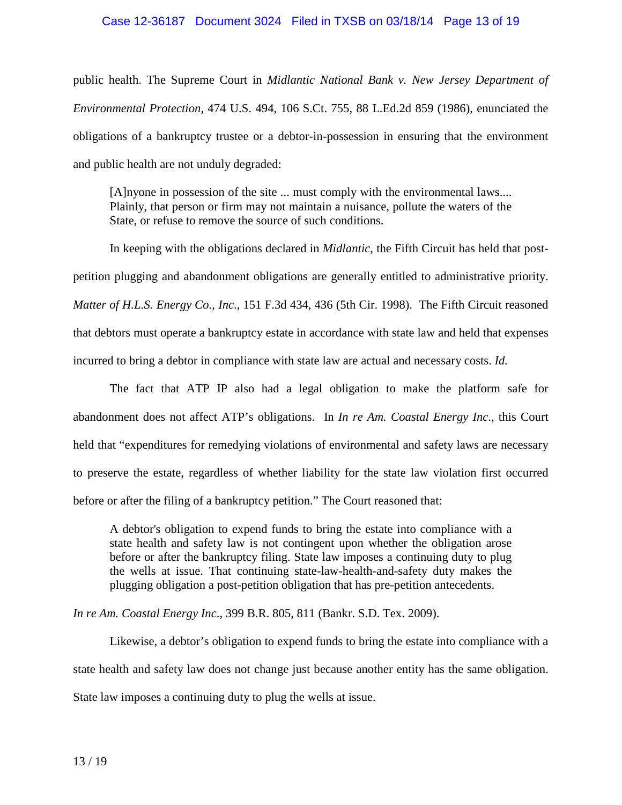# Case 12-36187 Document 3024 Filed in TXSB on 03/18/14 Page 13 of 19

public health. The Supreme Court in *Midlantic National Bank v. New Jersey Department of Environmental Protection,* 474 U.S. 494, 106 S.Ct. 755, 88 L.Ed.2d 859 (1986), enunciated the obligations of a bankruptcy trustee or a debtor-in-possession in ensuring that the environment and public health are not unduly degraded:

[A]nyone in possession of the site ... must comply with the environmental laws.... Plainly, that person or firm may not maintain a nuisance, pollute the waters of the State, or refuse to remove the source of such conditions.

In keeping with the obligations declared in *Midlantic*, the Fifth Circuit has held that postpetition plugging and abandonment obligations are generally entitled to administrative priority. *Matter of H.L.S. Energy Co., Inc*., 151 F.3d 434, 436 (5th Cir. 1998). The Fifth Circuit reasoned that debtors must operate a bankruptcy estate in accordance with state law and held that expenses incurred to bring a debtor in compliance with state law are actual and necessary costs. *Id.* 

The fact that ATP IP also had a legal obligation to make the platform safe for abandonment does not affect ATP's obligations. In *In re Am. Coastal Energy Inc*., this Court held that "expenditures for remedying violations of environmental and safety laws are necessary to preserve the estate, regardless of whether liability for the state law violation first occurred before or after the filing of a bankruptcy petition." The Court reasoned that:

A debtor's obligation to expend funds to bring the estate into compliance with a state health and safety law is not contingent upon whether the obligation arose before or after the bankruptcy filing. State law imposes a continuing duty to plug the wells at issue. That continuing state-law-health-and-safety duty makes the plugging obligation a post-petition obligation that has pre-petition antecedents.

*In re Am. Coastal Energy Inc*., 399 B.R. 805, 811 (Bankr. S.D. Tex. 2009).

Likewise, a debtor's obligation to expend funds to bring the estate into compliance with a state health and safety law does not change just because another entity has the same obligation. State law imposes a continuing duty to plug the wells at issue.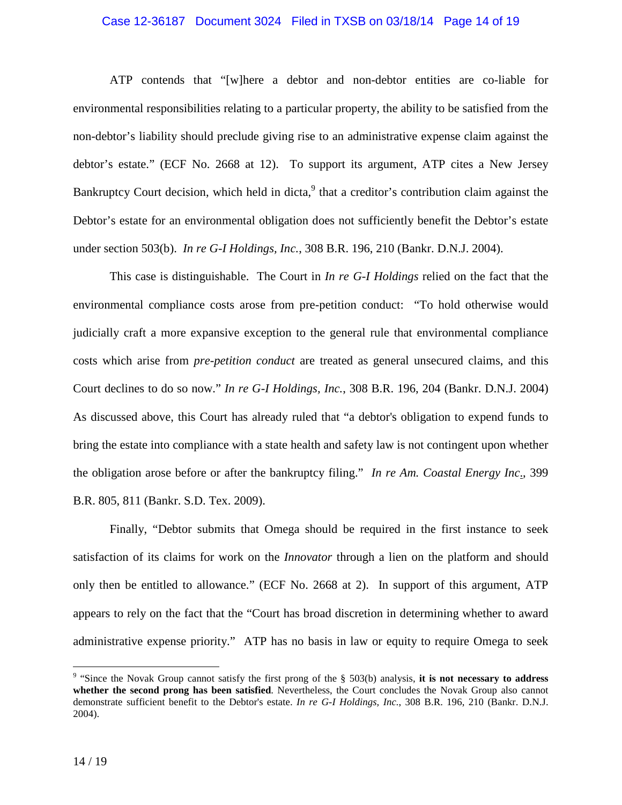#### Case 12-36187 Document 3024 Filed in TXSB on 03/18/14 Page 14 of 19

ATP contends that "[w]here a debtor and non-debtor entities are co-liable for environmental responsibilities relating to a particular property, the ability to be satisfied from the non-debtor's liability should preclude giving rise to an administrative expense claim against the debtor's estate." (ECF No. 2668 at 12). To support its argument, ATP cites a New Jersey Bankruptcy Court decision, which held in dicta,<sup>9</sup> that a creditor's contribution claim against the Debtor's estate for an environmental obligation does not sufficiently benefit the Debtor's estate under section 503(b). *In re G-I Holdings, Inc.*, 308 B.R. 196, 210 (Bankr. D.N.J. 2004).

This case is distinguishable. The Court in *In re G-I Holdings* relied on the fact that the environmental compliance costs arose from pre-petition conduct: "To hold otherwise would judicially craft a more expansive exception to the general rule that environmental compliance costs which arise from *pre-petition conduct* are treated as general unsecured claims, and this Court declines to do so now." *In re G-I Holdings, Inc.*, 308 B.R. 196, 204 (Bankr. D.N.J. 2004) As discussed above, this Court has already ruled that "a debtor's obligation to expend funds to bring the estate into compliance with a state health and safety law is not contingent upon whether the obligation arose before or after the bankruptcy filing." *In re Am. Coastal Energy Inc*., 399 B.R. 805, 811 (Bankr. S.D. Tex. 2009).

Finally, "Debtor submits that Omega should be required in the first instance to seek satisfaction of its claims for work on the *Innovator* through a lien on the platform and should only then be entitled to allowance." (ECF No. 2668 at 2). In support of this argument, ATP appears to rely on the fact that the "Court has broad discretion in determining whether to award administrative expense priority." ATP has no basis in law or equity to require Omega to seek

<sup>&</sup>lt;sup>9</sup> "Since the Novak Group cannot satisfy the first prong of the § 503(b) analysis, it is not necessary to address **whether the second prong has been satisfied**. Nevertheless, the Court concludes the Novak Group also cannot demonstrate sufficient benefit to the Debtor's estate. *In re G-I Holdings, Inc.*, 308 B.R. 196, 210 (Bankr. D.N.J. 2004).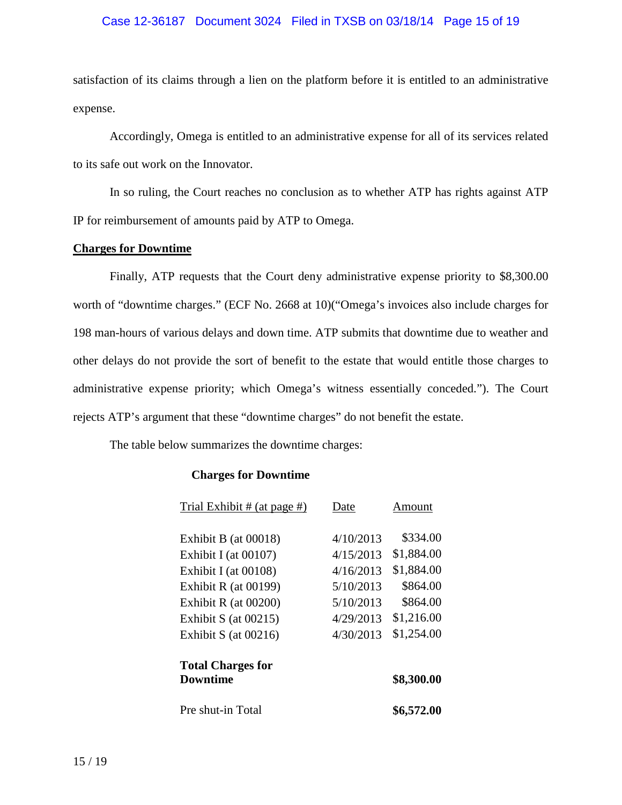# Case 12-36187 Document 3024 Filed in TXSB on 03/18/14 Page 15 of 19

satisfaction of its claims through a lien on the platform before it is entitled to an administrative expense.

Accordingly, Omega is entitled to an administrative expense for all of its services related to its safe out work on the Innovator.

In so ruling, the Court reaches no conclusion as to whether ATP has rights against ATP IP for reimbursement of amounts paid by ATP to Omega.

# **Charges for Downtime**

Finally, ATP requests that the Court deny administrative expense priority to \$8,300.00 worth of "downtime charges." (ECF No. 2668 at 10)("Omega's invoices also include charges for 198 man-hours of various delays and down time. ATP submits that downtime due to weather and other delays do not provide the sort of benefit to the estate that would entitle those charges to administrative expense priority; which Omega's witness essentially conceded."). The Court rejects ATP's argument that these "downtime charges" do not benefit the estate.

The table below summarizes the downtime charges:

# **Charges for Downtime**

|           | Amount     |
|-----------|------------|
| 4/10/2013 | \$334.00   |
| 4/15/2013 | \$1,884.00 |
| 4/16/2013 | \$1,884.00 |
| 5/10/2013 | \$864.00   |
| 5/10/2013 | \$864.00   |
| 4/29/2013 | \$1,216.00 |
| 4/30/2013 | \$1,254.00 |
|           |            |
|           | \$8,300.00 |
|           | \$6,572.00 |
|           | Date       |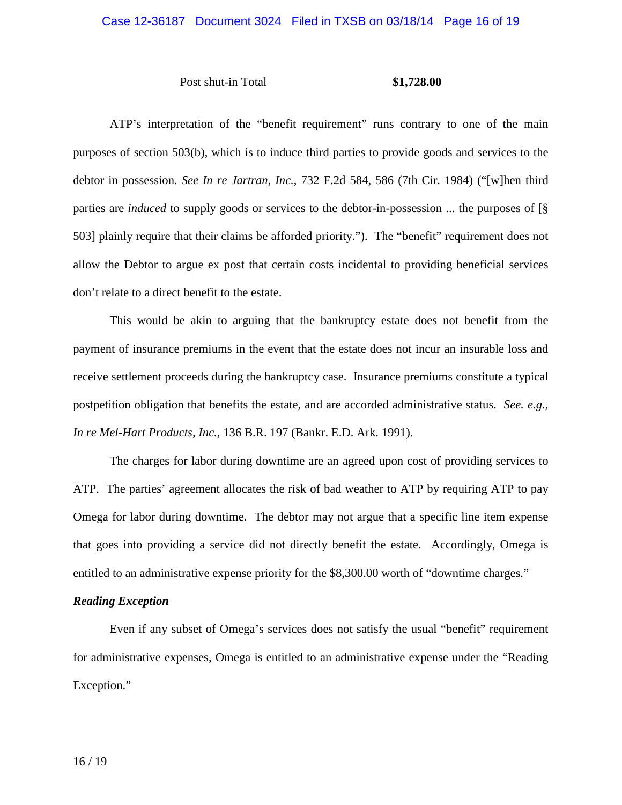# Case 12-36187 Document 3024 Filed in TXSB on 03/18/14 Page 16 of 19

# Post shut-in Total **\$1,728.00**

ATP's interpretation of the "benefit requirement" runs contrary to one of the main purposes of section 503(b), which is to induce third parties to provide goods and services to the debtor in possession. *See In re Jartran, Inc.*, 732 F.2d 584, 586 (7th Cir. 1984) ("[w]hen third parties are *induced* to supply goods or services to the debtor-in-possession ... the purposes of [§ 503] plainly require that their claims be afforded priority."). The "benefit" requirement does not allow the Debtor to argue ex post that certain costs incidental to providing beneficial services don't relate to a direct benefit to the estate.

This would be akin to arguing that the bankruptcy estate does not benefit from the payment of insurance premiums in the event that the estate does not incur an insurable loss and receive settlement proceeds during the bankruptcy case. Insurance premiums constitute a typical postpetition obligation that benefits the estate, and are accorded administrative status. *See. e.g., In re Mel-Hart Products, Inc.*, 136 B.R. 197 (Bankr. E.D. Ark. 1991).

The charges for labor during downtime are an agreed upon cost of providing services to ATP. The parties' agreement allocates the risk of bad weather to ATP by requiring ATP to pay Omega for labor during downtime. The debtor may not argue that a specific line item expense that goes into providing a service did not directly benefit the estate. Accordingly, Omega is entitled to an administrative expense priority for the \$8,300.00 worth of "downtime charges."

# *Reading Exception*

Even if any subset of Omega's services does not satisfy the usual "benefit" requirement for administrative expenses, Omega is entitled to an administrative expense under the "Reading Exception."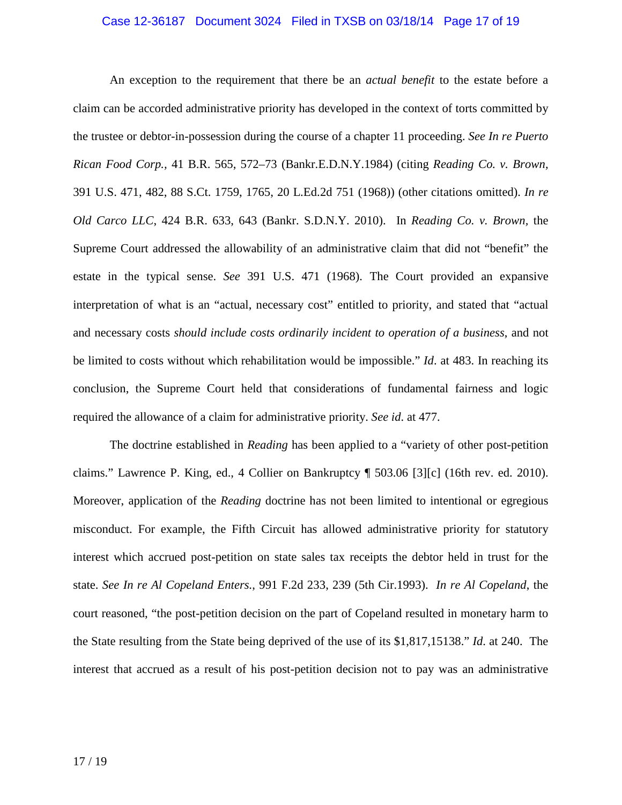# Case 12-36187 Document 3024 Filed in TXSB on 03/18/14 Page 17 of 19

An exception to the requirement that there be an *actual benefit* to the estate before a claim can be accorded administrative priority has developed in the context of torts committed by the trustee or debtor-in-possession during the course of a chapter 11 proceeding. *See In re Puerto Rican Food Corp.,* 41 B.R. 565, 572–73 (Bankr.E.D.N.Y.1984) (citing *Reading Co. v. Brown,* 391 U.S. 471, 482, 88 S.Ct. 1759, 1765, 20 L.Ed.2d 751 (1968)) (other citations omitted). *In re Old Carco LLC*, 424 B.R. 633, 643 (Bankr. S.D.N.Y. 2010). In *Reading Co. v. Brown,* the Supreme Court addressed the allowability of an administrative claim that did not "benefit" the estate in the typical sense. *See* 391 U.S. 471 (1968). The Court provided an expansive interpretation of what is an "actual, necessary cost" entitled to priority, and stated that "actual and necessary costs *should include costs ordinarily incident to operation of a business*, and not be limited to costs without which rehabilitation would be impossible." *Id*. at 483. In reaching its conclusion, the Supreme Court held that considerations of fundamental fairness and logic required the allowance of a claim for administrative priority. *See id*. at 477.

The doctrine established in *Reading* has been applied to a "variety of other post-petition claims." Lawrence P. King, ed., 4 Collier on Bankruptcy ¶ 503.06 [3][c] (16th rev. ed. 2010). Moreover, application of the *Reading* doctrine has not been limited to intentional or egregious misconduct. For example, the Fifth Circuit has allowed administrative priority for statutory interest which accrued post-petition on state sales tax receipts the debtor held in trust for the state. *See In re Al Copeland Enters.*, 991 F.2d 233, 239 (5th Cir.1993). *In re Al Copeland*, the court reasoned, "the post-petition decision on the part of Copeland resulted in monetary harm to the State resulting from the State being deprived of the use of its \$1,817,15138." *Id*. at 240. The interest that accrued as a result of his post-petition decision not to pay was an administrative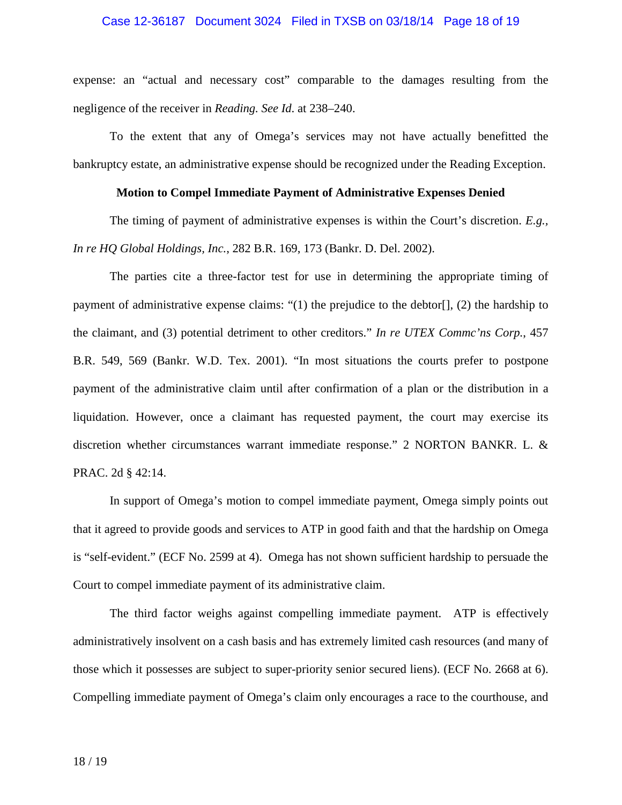# Case 12-36187 Document 3024 Filed in TXSB on 03/18/14 Page 18 of 19

expense: an "actual and necessary cost" comparable to the damages resulting from the negligence of the receiver in *Reading. See Id*. at 238–240.

To the extent that any of Omega's services may not have actually benefitted the bankruptcy estate, an administrative expense should be recognized under the Reading Exception.

# **Motion to Compel Immediate Payment of Administrative Expenses Denied**

The timing of payment of administrative expenses is within the Court's discretion. *E.g., In re HQ Global Holdings, Inc.*, 282 B.R. 169, 173 (Bankr. D. Del. 2002).

The parties cite a three-factor test for use in determining the appropriate timing of payment of administrative expense claims: "(1) the prejudice to the debtor[], (2) the hardship to the claimant, and (3) potential detriment to other creditors." *In re UTEX Commc'ns Corp.*, 457 B.R. 549, 569 (Bankr. W.D. Tex. 2001). "In most situations the courts prefer to postpone payment of the administrative claim until after confirmation of a plan or the distribution in a liquidation. However, once a claimant has requested payment, the court may exercise its discretion whether circumstances warrant immediate response." 2 NORTON BANKR. L. & PRAC. 2d § 42:14.

In support of Omega's motion to compel immediate payment, Omega simply points out that it agreed to provide goods and services to ATP in good faith and that the hardship on Omega is "self-evident." (ECF No. 2599 at 4). Omega has not shown sufficient hardship to persuade the Court to compel immediate payment of its administrative claim.

The third factor weighs against compelling immediate payment. ATP is effectively administratively insolvent on a cash basis and has extremely limited cash resources (and many of those which it possesses are subject to super-priority senior secured liens). (ECF No. 2668 at 6). Compelling immediate payment of Omega's claim only encourages a race to the courthouse, and